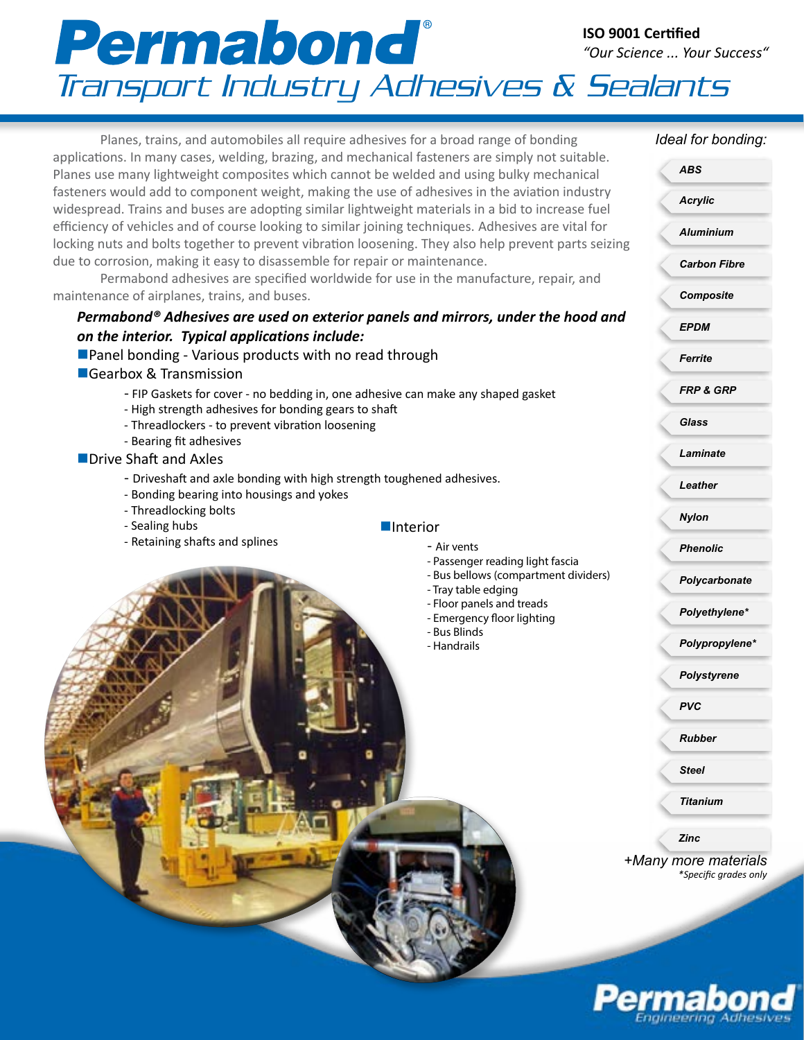## Permabond® **ISO 9001 Certified** *"Our Science ... Your Success"* Transport Industry Adhesives & Sealants

Planes, trains, and automobiles all require adhesives for a broad range of bonding applications. In many cases, welding, brazing, and mechanical fasteners are simply not suitable. Planes use many lightweight composites which cannot be welded and using bulky mechanical fasteners would add to component weight, making the use of adhesives in the aviation industry widespread. Trains and buses are adopting similar lightweight materials in a bid to increase fuel efficiency of vehicles and of course looking to similar joining techniques. Adhesives are vital for locking nuts and bolts together to prevent vibration loosening. They also help prevent parts seizing due to corrosion, making it easy to disassemble for repair or maintenance.

Permabond adhesives are specified worldwide for use in the manufacture, repair, and maintenance of airplanes, trains, and buses.

### *Permabond® Adhesives are used on exterior panels and mirrors, under the hood and on the interior. Typical applications include:*

#### **Panel bonding - Various products with no read through**

- ■Gearbox & Transmission
	- FIP Gaskets for cover no bedding in, one adhesive can make any shaped gasket
	- High strength adhesives for bonding gears to shaft
	- Threadlockers to prevent vibration loosening
	- Bearing fit adhesives
- $\blacksquare$  Drive Shaft and Axles
	- Driveshaft and axle bonding with high strength toughened adhesives.
	- Bonding bearing into housings and yokes
	- Threadlocking bolts
	- Sealing hubs
	- Retaining shafts and splines

# **n**Interior

- Air vents
- Passenger reading light fascia - Bus bellows (compartment dividers)
- Tray table edging
- 
- Floor panels and treads - Emergency floor lighting
- Bus Blinds
- Handrails

#### *Ideal for bonding:*

|   | <b>ABS</b>                                    |
|---|-----------------------------------------------|
|   | <b>Acrylic</b>                                |
| g | <b>Aluminium</b>                              |
|   | <b>Carbon Fibre</b>                           |
|   | <b>Composite</b>                              |
| ı | <b>EPDM</b>                                   |
|   | Ferrite                                       |
|   | <b>FRP &amp; GRP</b>                          |
|   | Glass                                         |
|   | Laminate                                      |
|   | Leather                                       |
|   | <b>Nylon</b>                                  |
|   | <b>Phenolic</b>                               |
|   | Polycarbonate                                 |
|   | Polyethylene*                                 |
|   | Polypropylene*                                |
|   | <b>Polystyrene</b>                            |
|   | <b>PVC</b>                                    |
|   | <b>Rubber</b>                                 |
|   | <b>Steel</b>                                  |
|   | Titanium                                      |
|   | Zinc                                          |
|   | +Many more materials<br>*Specific grades only |
|   |                                               |